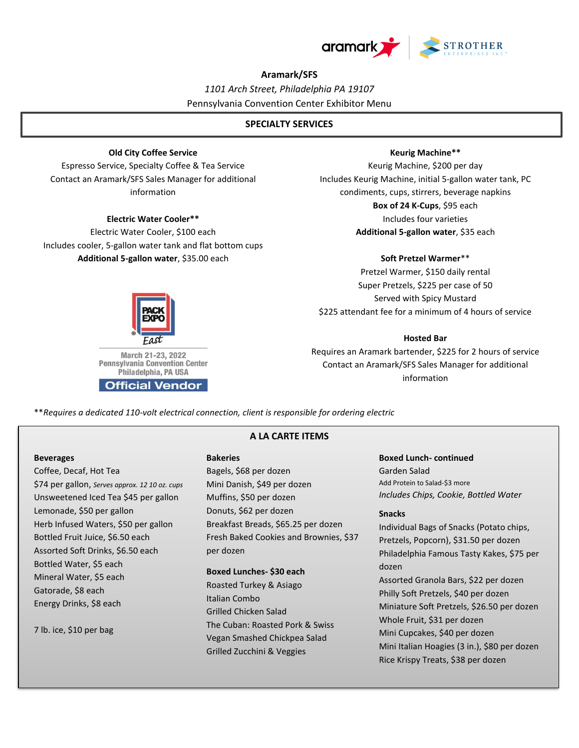

# **Aramark/SFS**

*1101 Arch Street, Philadelphia PA 19107* Pennsylvania Convention Center Exhibitor Menu

# **SPECIALTY SERVICES**

# **Old City Coffee Service**

Espresso Service, Specialty Coffee & Tea Service Contact an Aramark/SFS Sales Manager for additional information

# **Electric Water Cooler\*\***

Electric Water Cooler, \$100 each Includes cooler, 5-gallon water tank and flat bottom cups **Additional 5-gallon water**, \$35.00 each

# **Keurig Machine\*\***

Keurig Machine, \$200 per day Includes Keurig Machine, initial 5-gallon water tank, PC condiments, cups, stirrers, beverage napkins **Box of 24 K-Cups**, \$95 each Includes four varieties **Additional 5-gallon water**, \$35 each

#### **Soft Pretzel Warmer**\*\*

Pretzel Warmer, \$150 daily rental Super Pretzels, \$225 per case of 50 Served with Spicy Mustard \$225 attendant fee for a minimum of 4 hours of service

# **Hosted Bar**

Requires an Aramark bartender, \$225 for 2 hours of service Contact an Aramark/SFS Sales Manager for additional information

\*\**Requires a dedicated 110-volt electrical connection, client is responsible for ordering electric*

#### **Beverages**

Coffee, Decaf, Hot Tea \$74 per gallon, *Serves approx. 12 10 oz. cups* Unsweetened Iced Tea \$45 per gallon Lemonade, \$50 per gallon Herb Infused Waters, \$50 per gallon Bottled Fruit Juice, \$6.50 each Assorted Soft Drinks, \$6.50 each Bottled Water, \$5 each Mineral Water, \$5 each Gatorade, \$8 each Energy Drinks, \$8 each

7 lb. ice, \$10 per bag

# **A LA CARTE ITEMS**

#### **Bakeries**

Bagels, \$68 per dozen Mini Danish, \$49 per dozen Muffins, \$50 per dozen Donuts, \$62 per dozen Breakfast Breads, \$65.25 per dozen Fresh Baked Cookies and Brownies, \$37 per dozen

### **Boxed Lunches- \$30 each**

Roasted Turkey & Asiago Italian Combo Grilled Chicken Salad The Cuban: Roasted Pork & Swiss Vegan Smashed Chickpea Salad Grilled Zucchini & Veggies

**Boxed Lunch- continued** Garden Salad Add Protein to Salad-\$3 more *Includes Chips, Cookie, Bottled Water*

#### **Snacks**

Individual Bags of Snacks (Potato chips, Pretzels, Popcorn), \$31.50 per dozen Philadelphia Famous Tasty Kakes, \$75 per dozen Assorted Granola Bars, \$22 per dozen Philly Soft Pretzels, \$40 per dozen Miniature Soft Pretzels, \$26.50 per dozen Whole Fruit, \$31 per dozen Mini Cupcakes, \$40 per dozen Mini Italian Hoagies (3 in.), \$80 per dozen Rice Krispy Treats, \$38 per dozen



**Official Vendor**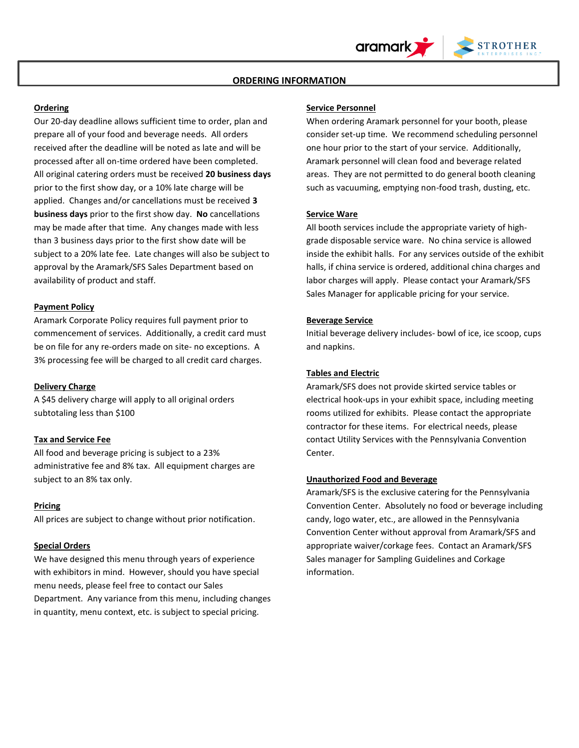# **ORDERING INFORMATION**

### **Ordering**

Our 20-day deadline allows sufficient time to order, plan and prepare all of your food and beverage needs. All orders received after the deadline will be noted as late and will be processed after all on-time ordered have been completed. All original catering orders must be received **20 business days** prior to the first show day, or a 10% late charge will be applied. Changes and/or cancellations must be received **3 business days** prior to the first show day. **No** cancellations may be made after that time. Any changes made with less than 3 business days prior to the first show date will be subject to a 20% late fee. Late changes will also be subject to approval by the Aramark/SFS Sales Department based on availability of product and staff.

## **Payment Policy**

Aramark Corporate Policy requires full payment prior to commencement of services. Additionally, a credit card must be on file for any re-orders made on site- no exceptions. A 3% processing fee will be charged to all credit card charges.

# **Delivery Charge**

A \$45 delivery charge will apply to all original orders subtotaling less than \$100

### **Tax and Service Fee**

All food and beverage pricing is subject to a 23% administrative fee and 8% tax. All equipment charges are subject to an 8% tax only.

#### **Pricing**

All prices are subject to change without prior notification.

## **Special Orders**

We have designed this menu through years of experience with exhibitors in mind. However, should you have special menu needs, please feel free to contact our Sales Department. Any variance from this menu, including changes in quantity, menu context, etc. is subject to special pricing.

## **Service Personnel**

When ordering Aramark personnel for your booth, please consider set-up time. We recommend scheduling personnel one hour prior to the start of your service. Additionally, Aramark personnel will clean food and beverage related areas. They are not permitted to do general booth cleaning such as vacuuming, emptying non-food trash, dusting, etc.

֦

**STROTHER** 

#### **Service Ware**

All booth services include the appropriate variety of highgrade disposable service ware. No china service is allowed inside the exhibit halls. For any services outside of the exhibit halls, if china service is ordered, additional china charges and labor charges will apply. Please contact your Aramark/SFS Sales Manager for applicable pricing for your service.

#### **Beverage Service**

Initial beverage delivery includes- bowl of ice, ice scoop, cups and napkins.

### **Tables and Electric**

Aramark/SFS does not provide skirted service tables or electrical hook-ups in your exhibit space, including meeting rooms utilized for exhibits. Please contact the appropriate contractor for these items. For electrical needs, please contact Utility Services with the Pennsylvania Convention Center.

# **Unauthorized Food and Beverage**

Aramark/SFS is the exclusive catering for the Pennsylvania Convention Center. Absolutely no food or beverage including candy, logo water, etc., are allowed in the Pennsylvania Convention Center without approval from Aramark/SFS and appropriate waiver/corkage fees. Contact an Aramark/SFS Sales manager for Sampling Guidelines and Corkage information.